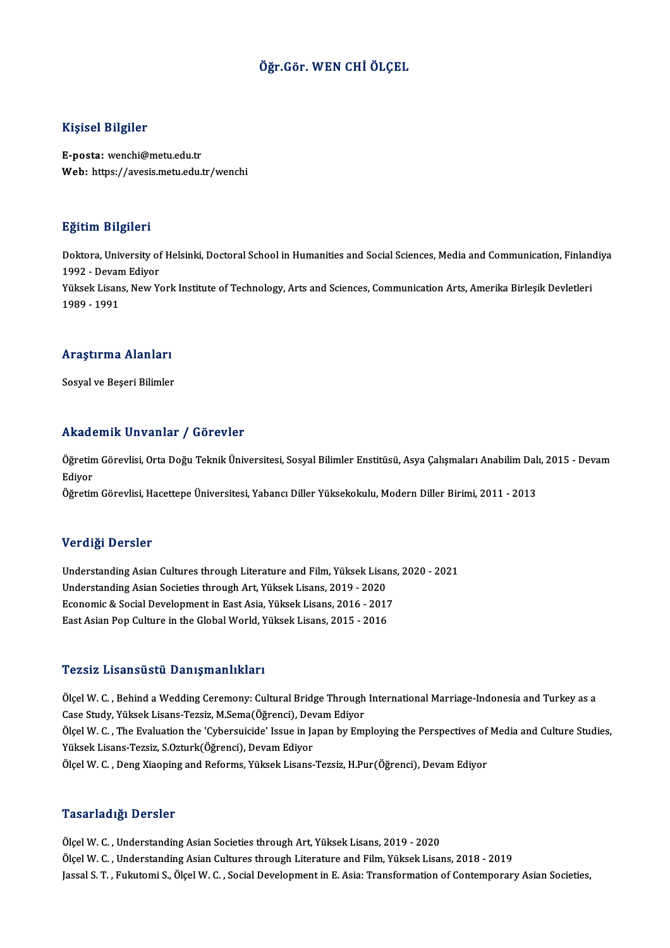## Öğr.Gör.WEN CHİÖLÇEL

### Kişisel Bilgiler

E-posta: wenchi@metu.edu.tr Web: https://avesis.metu.edu.tr/wenchi

#### Eğitim Bilgileri

**Eğitim Bilgileri**<br>Doktora, University of Helsinki, Doctoral School in Humanities and Social Sciences, Media and Communication, Finlandiya<br>1992 - Devem Ediver 1992 - Devam British<br>1992 - Devam Ediyor<br>Vülgek Lisans, New Yo Doktora, University of Helsinki, Doctoral School in Humanities and Social Sciences, Media and Communication, Finlan<br>1992 - Devam Ediyor<br>Yüksek Lisans, New York Institute of Technology, Arts and Sciences, Communication Arts 1992 - Devan<br>Yüksek Lisan<br>1989 - 1991

## 1989 - 1991<br>Araştırma Alanları <mark>Araştırma Alanları</mark><br>Sosyal ve Beşeri Bilimler

## Akademik Unvanlar / Görevler

**Akademik Unvanlar / Görevler**<br>Öğretim Görevlisi, Orta Doğu Teknik Üniversitesi, Sosyal Bilimler Enstitüsü, Asya Çalışmaları Anabilim Dalı, 2015 - Devam<br>Ediyor rrraat<br>Öğretin<br>Ediyor<br>Öğretin Öğretim Görevlisi, Orta Doğu Teknik Üniversitesi, Sosyal Bilimler Enstitüsü, Asya Çalışmaları Anabilim Dal:<br>Ediyor<br>Öğretim Görevlisi, Hacettepe Üniversitesi, Yabancı Diller Yüksekokulu, Modern Diller Birimi, 2011 - 2013

Öğretim Görevlisi, Hacettepe Üniversitesi, Yabancı Diller Yüksekokulu, Modern Diller Birimi, 2011 - 2013<br>Verdiği Dersler

Verdiği Dersler<br>Understanding Asian Cultures through Literature and Film, Yüksek Lisans, 2020 - 2021<br>Understanding Asian Sociatios through Art, Yüksek Lisans, 2010, 2020 Vor dig Portstor<br>Understanding Asian Cultures through Literature and Film, Yüksek Lisan<br>Understanding Asian Societies through Art, Yüksek Lisans, 2019 - 2020<br>Feenamis & Social Davelopment in East Asia Wüksek Lisans, 2016 -Understanding Asian Cultures through Literature and Film, Yüksek Lisans<br>Understanding Asian Societies through Art, Yüksek Lisans, 2019 - 2020<br>Economic & Social Development in East Asia, Yüksek Lisans, 2016 - 2017<br>East Asia Understanding Asian Societies through Art, Yüksek Lisans, 2019 - 2020<br>Economic & Social Development in East Asia, Yüksek Lisans, 2016 - 2017<br>East Asian Pop Culture in the Global World, Yüksek Lisans, 2015 - 2016

#### Tezsiz Lisansüstü Danışmanlıkları

Ölçel W.C., Behind a Wedding Ceremony: Cultural Bridge Through International Marriage-Indonesia and Turkey as a Case Study,YüksekLisans-Tezsiz,M.Sema(Öğrenci),DevamEdiyor Ölçel W. C. , Behind a Wedding Ceremony: Cultural Bridge Through International Marriage-Indonesia and Turkey as a<br>Case Study, Yüksek Lisans-Tezsiz, M.Sema(Öğrenci), Devam Ediyor<br>Ölçel W. C. , The Evaluation the 'Cybersuici Case Study, Yüksek Lisans-Tezsiz, M.Sema(Öğrenci), Dev<br>Ölçel W. C. , The Evaluation the 'Cybersuicide' Issue in Ja<br>Yüksek Lisans-Tezsiz, S.Ozturk(Öğrenci), Devam Ediyor<br>Ölçel W. C. Deng Yisoning and Beforms, Yüksek Lisans Ölçel W. C. , The Evaluation the 'Cybersuicide' Issue in Japan by Employing the Perspectives of<br>Yüksek Lisans-Tezsiz, S.Ozturk(Öğrenci), Devam Ediyor<br>Ölçel W. C. , Deng Xiaoping and Reforms, Yüksek Lisans-Tezsiz, H.Pur(Öğr Ölçel W. C. , Deng Xiaoping and Reforms, Yüksek Lisans-Tezsiz, H.Pur(Öğrenci), Devam Ediyor<br>Tasarladığı Dersler

Ölçel W. C., Understanding Asian Societies through Art, Yüksek Lisans, 2019 - 2020 Ölçel W.C., Understanding Asian Cultures through Literature and Film, Yüksek Lisans, 2018 - 2019 Jassal S. T., Fukutomi S., Ölçel W. C., Social Development in E. Asia: Transformation of Contemporary Asian Societies,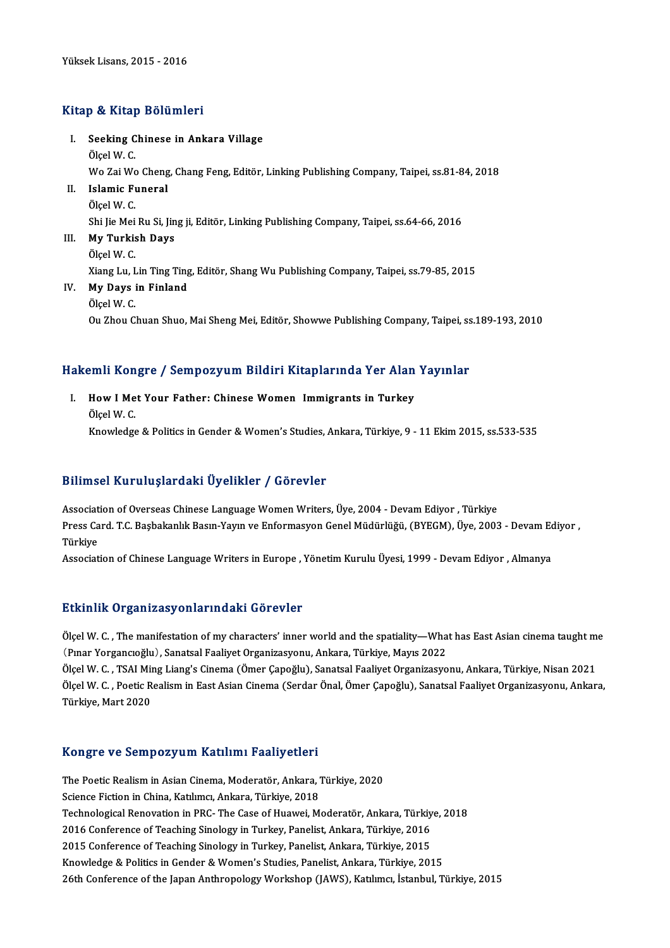### Kitap & Kitap Bölümleri

itap & Kitap Bölümleri<br>I. Seeking Chinese in Ankara Village<br>Ölsel W.C Seeking C<br>Seeking C<br>Ölçel W. C. Seeking Chinese in Ankara Village<br>Ölçel W. C.<br>Wo Zai Wo Cheng, Chang Feng, Editör, Linking Publishing Company, Taipei, ss.81-84, 2018<br>Islamis Euneral Ölçel W. C.<br>Wo Zai Wo Cheng<br>II. Islamic Funeral<br>Ölcel W. C. Wo Zai Wo<br>I<mark>slamic F</mark>u<br>Ölçel W. C.<br>Shi Jie Mei Shi Jie Mei Ru Si, Jing ji, Editör, Linking Publishing Company, Taipei, ss.64-66, 2016 Ölçel W. C.<br>Shi Jie Mei Ru Si, Jin<br>III. **My Turkish Days**<br>Ölgel W. C Shi Jie Mei<br>**My Turkis**<br>Ölçel W. C.<br><sup>Viong Lu L</sup> My Turkish Days<br>Ölçel W. C.<br>Xiang Lu, Lin Ting Ting, Editör, Shang Wu Publishing Company, Taipei, ss.79-85, 2015<br>Mu Davs in Einland Ölçel W. C.<br>Xiang Lu, Lin Ting Ting<br>IV. **My Days in Finland**<br>Ölçel W. C. Xiang Lu, I<br>**My Days**<br>Ölçel W. C.<br>Ou Zhou C. Ou Zhou Chuan Shuo, Mai Sheng Mei, Editör, Showwe Publishing Company, Taipei, ss.189-193, 2010

# uu zhou chuan shuo, mai sheng mei, Editor, Showwe Publishing company, Taipei, ss<br>Hakemli Kongre / Sempozyum Bildiri Kitaplarında Yer Alan Yayınlar

akemli Kongre / Sempozyum Bildiri Kitaplarında Yer Alan<br>I. How I Met Your Father: Chinese Women Immigrants in Turkey I. How I Met Your Father: Chinese Women Immigrants in Turkey Ölcel W. C. Knowledge & Politics in Gender & Women's Studies, Ankara, Türkiye, 9 - 11 Ekim 2015, ss.533-535

## Bilimsel KuruluşlardakiÜyelikler / Görevler

Association of Overseas Chinese Language Women Writers, Üye, 2004 - Devam Ediyor , Türkiye Barrinsof Atta druğlur dünf oy orrinci "," döfevler<br>Association of Overseas Chinese Language Women Writers, Üye, 2004 - Devam Ediyor , Türkiye<br>Press Card. T.C. Başbakanlık Basın-Yayın ve Enformasyon Genel Müdürlüğü, (BYEGM Associat<br>Press Ca<br>Türkiye<br>Associat Press Card. T.C. Başbakanlık Basın-Yayın ve Enformasyon Genel Müdürlüğü, (BYEGM), Üye, 2003 - Devam Ec<br>Türkiye<br>Association of Chinese Language Writers in Europe , Yönetim Kurulu Üyesi, 1999 - Devam Ediyor , Almanya

Association of Chinese Language Writers in Europe , Yönetim Kurulu Üyesi, 1999 - Devam Ediyor , Almanya<br>Etkinlik Organizasyonlarındaki Görevler

Etkinlik Organizasyonlarındaki Görevler<br>Ölçel W. C. , The manifestation of my characters' inner world and the spatiality—What has East Asian cinema taught me<br>(Pinar Yorgangoğlu), Sanatsal Easliyet Organizasyonu, Ankara, Tü Ethnian of gamlaasyonial maail doroviol<br>Ölçel W. C. , The manifestation of my characters' inner world and the spatiality—Wha<br>(Pinar Yorgancıoğlu), Sanatsal Faaliyet Organizasyonu, Ankara, Türkiye, Mayıs 2022<br>Ölçel W. C. TS Ölçel W. C. , The manifestation of my characters' inner world and the spatiality—What has East Asian cinema taught m<br>(Pınar Yorgancıoğlu), Sanatsal Faaliyet Organizasyonu, Ankara, Türkiye, Mayıs 2022<br>Ölçel W. C. , TSAI Min

(Pınar Yorgancıoğlu), Sanatsal Faaliyet Organizasyonu, Ankara, Türkiye, Mayıs 2022<br>Ölçel W. C. , TSAI Ming Liang's Cinema (Ömer Çapoğlu), Sanatsal Faaliyet Organizasyonu, Ankara, Türkiye, Nisan 2021<br>Ölçel W. C. , Poetic Re Ölçel W. C., TSAI Ming Liang's Cinema (Ömer Çapoğlu), Sanatsal Faaliyet Organizasyonu, Ankara, Türkiye, Nisan 2021

#### Kongre ve SempozyumKatılımı Faaliyetleri

Kongre ve Sempozyum Katılımı Faaliyetleri<br>The Poetic Realism in Asian Cinema, Moderatör, Ankara, Türkiye, 2020<br>Sejange Fistion in Chine, Katılımsı, Ankara, Türkiye, 2019 Science Fiction in Asian Cinema, Moderatör, Ankara, Türkiye, 2018<br>Science Fiction in China, Katılımcı, Ankara, Türkiye, 2018<br>Technological Benevation in PPC, The Case of Huavrai M The Poetic Realism in Asian Cinema, Moderatör, Ankara, Türkiye, 2020<br>Science Fiction in China, Katılımcı, Ankara, Türkiye, 2018<br>Technological Renovation in PRC- The Case of Huawei, Moderatör, Ankara, Türkiye, 2018<br>2016 Con Science Fiction in China, Katılımcı, Ankara, Türkiye, 2018<br>Technological Renovation in PRC- The Case of Huawei, Moderatör, Ankara, Türkiye<br>2016 Conference of Teaching Sinology in Turkey, Panelist, Ankara, Türkiye, 2016<br>201 Technological Renovation in PRC- The Case of Huawei, Moderatör, Ankara, Türkiy<br>2016 Conference of Teaching Sinology in Turkey, Panelist, Ankara, Türkiye, 2016<br>2015 Conference of Teaching Sinology in Turkey, Panelist, Ankar 2016 Conference of Teaching Sinology in Turkey, Panelist, Ankara, Türkiye, 2016<br>2015 Conference of Teaching Sinology in Turkey, Panelist, Ankara, Türkiye, 2015<br>Knowledge & Politics in Gender & Women's Studies, Panelist, An 26th Conference of the Japan Anthropology Workshop (JAWS), Katılımcı, İstanbul, Türkiye, 2015